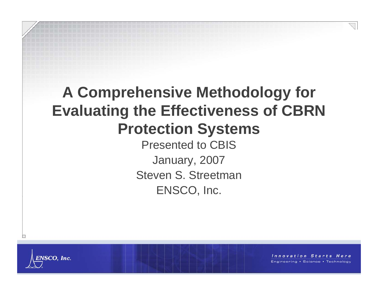# **A Comprehensive Methodology for Evaluating the Effectiveness of CBRN Protection Systems**

Presented to CBISJanuary, 2007 Steven S. StreetmanENSCO, Inc.



П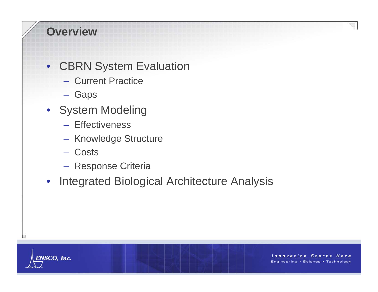### **Overview**

#### •CBRN System Evaluation

- Current Practice
- Gaps
- System Modeling
	- Effectiveness
	- Knowledge Structure
	- Costs
	- Response Criteria
- •Integrated Biological Architecture Analysis



□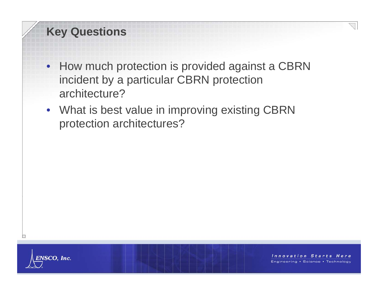### **Key Questions**

- How much protection is provided against a CBRN incident by a particular CBRN protection architecture?
- What is best value in improving existing CBRN protection architectures?



П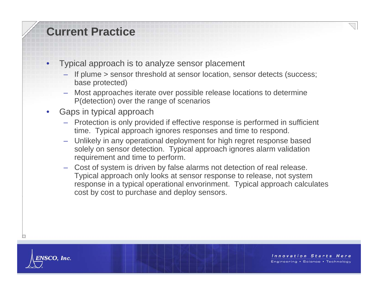#### **Current Practice**

- • Typical approach is to analyze sensor placement
	- If plume > sensor threshold at sensor location, sensor detects (success; base protected)
	- Most approaches iterate over possible release locations to determine P(detection) over the range of scenarios
- • Gaps in typical approach
	- Protection is only provided if effective response is performed in sufficient time. Typical approach ignores responses and time to respond.
	- Unlikely in any operational deployment for high regret response based solely on sensor detection. Typical approach ignores alarm validation requirement and time to perform.
	- Cost of system is driven by false alarms not detection of real release. Typical approach only looks at sensor response to release, not system response in a typical operational envorinment. Typical approach calculates cost by cost to purchase and deploy sensors.



⊢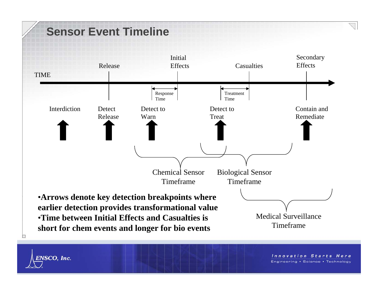

**ENSCO, Inc.**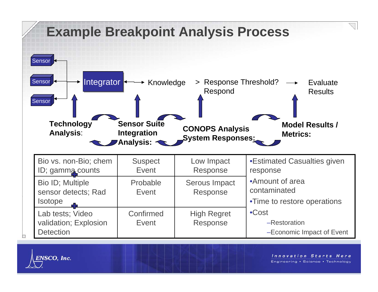

ENSCO, Inc.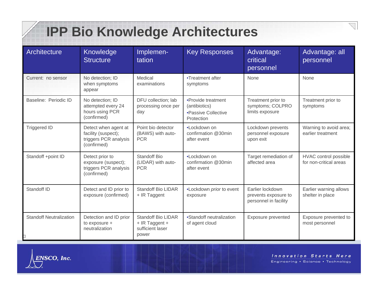# **IPP Bio Knowledge Architectures**

| Architecture                   | Knowledge<br><b>Structure</b>                                                       | Implemen-<br>tation                                                      | <b>Key Responses</b>                                                     | Advantage:<br>critical<br>personnel                               | Advantage: all<br>personnel                     |
|--------------------------------|-------------------------------------------------------------------------------------|--------------------------------------------------------------------------|--------------------------------------------------------------------------|-------------------------------------------------------------------|-------------------------------------------------|
| Current: no sensor             | No detection; ID<br>when symptoms<br>appear                                         | Medical<br>examinations                                                  | •Treatment after<br>symptoms                                             | None                                                              | None                                            |
| Baseline: Periodic ID          | No detection; ID<br>attempted every 24<br>hours using PCR<br>(confirmed)            | DFU collection; lab<br>processing once per<br>day                        | •Provide treatment<br>(antibiotics)<br>•Passive Collective<br>Protection | Treatment prior to<br>symptoms; COLPRO<br>limits exposure         | Treatment prior to<br>symptoms                  |
| <b>Triggered ID</b>            | Detect when agent at<br>facility (suspect);<br>triggers PCR analysis<br>(confirmed) | Point bio detector<br>(BAWS) with auto-<br><b>PCR</b>                    | •Lockdown on<br>confirmation @30min<br>after event                       | Lockdown prevents<br>personnel exposure<br>upon exit              | Warning to avoid area;<br>earlier treatment     |
| Standoff +point ID             | Detect prior to<br>exposure (suspect);<br>triggers PCR analysis<br>(confirmed)      | <b>Standoff Bio</b><br>(LIDAR) with auto-<br><b>PCR</b>                  | •Lockdown on<br>confirmation @30min<br>after event                       | Target remediation of<br>affected area                            | HVAC control possible<br>for non-critical areas |
| Standoff ID                    | Detect and ID prior to<br>exposure (confirmed)                                      | <b>Standoff Bio LIDAR</b><br>+ IR Taggent                                | •Lockdown prior to event<br>exposure                                     | Earlier lockdown<br>prevents exposure to<br>personnel in facility | Earlier warning allows<br>shelter in place      |
| <b>Standoff Neutralization</b> | Detection and ID prior<br>to exposure +<br>neutralization                           | <b>Standoff Bio LIDAR</b><br>+ IR Taggent +<br>sufficient laser<br>power | •Standoff neutralization<br>of agent cloud                               | Exposure prevented                                                | Exposure prevented to<br>most personnel         |



Z.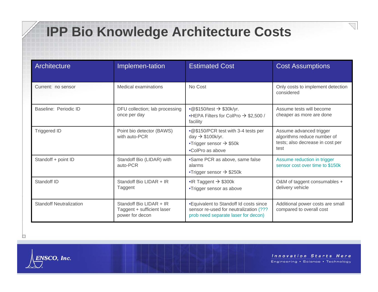## **IPP Bio Knowledge Architecture Costs**

| Architecture                   | Implemen-tation                                                          | <b>Estimated Cost</b>                                                                                                          | <b>Cost Assumptions</b>                                                                            |
|--------------------------------|--------------------------------------------------------------------------|--------------------------------------------------------------------------------------------------------------------------------|----------------------------------------------------------------------------------------------------|
| Current: no sensor             | <b>Medical examinations</b>                                              | No Cost                                                                                                                        | Only costs to implement detection<br>considered                                                    |
| Baseline: Periodic ID          | DFU collection; lab processing<br>once per day                           | $\cdot$ @\$150/test $\rightarrow$ \$30k/yr.<br>•HEPA Filters for ColPro $\rightarrow$ \$2,500 /<br>facility                    | Assume tests will become<br>cheaper as more are done                                               |
| <b>Triggered ID</b>            | Point bio detector (BAWS)<br>with auto-PCR                               | .@\$150/PCR test with 3-4 tests per<br>day $\rightarrow$ \$100k/yr.<br>•Trigger sensor $\rightarrow$ \$50k<br>•ColPro as above | Assume advanced trigger<br>algorithms reduce number of<br>tests; also decrease in cost per<br>test |
| Standoff + point ID            | Standoff Bio (LIDAR) with<br>auto-PCR                                    | •Same PCR as above, same false<br>alarms<br>•Trigger sensor $\rightarrow$ \$250k                                               | Assume reduction in trigger<br>sensor cost over time to \$150k                                     |
| Standoff ID                    | Standoff Bio LIDAR + IR<br>Taggent                                       | $\bullet$ R Taggent $\rightarrow$ \$300k<br>•Trigger sensor as above                                                           | O&M of taggent consumables +<br>delivery vehicle                                                   |
| <b>Standoff Neutralization</b> | Standoff Bio LIDAR + IR<br>Taggent + sufficient laser<br>power for decon | •Equivalent to Standoff Id costs since<br>sensor re-used for neutralization (???<br>prob need separate laser for decon)        | Additional power costs are small<br>compared to overall cost                                       |

ENSCO, Inc.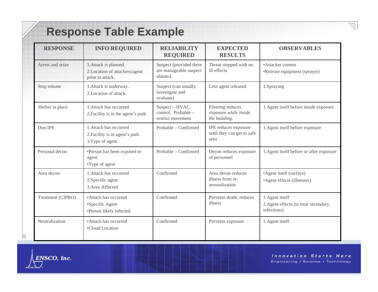### **Response Table Example**

| <b>RESPONSE</b>   | <b>INFO REQUIRED</b>                                                         | <b>RELIABILITY</b><br><b>REQUIRED</b>                         | <b>EXPECTED</b><br><b>RESULTS</b>                           | <b>OBSERVABLES</b>                                                     |
|-------------------|------------------------------------------------------------------------------|---------------------------------------------------------------|-------------------------------------------------------------|------------------------------------------------------------------------|
| Arrest and seize  | 1. Attack is planned.<br>2. Location of attackers/agent<br>prior to attack.  | Suspect (provided there<br>are manageable suspect<br>alarms). | Threat stopped with no<br>ill effects.                      | •Attacker comms<br>•Release equipment (sprayer)                        |
| Stop release      | 1. Attack is underway.<br>2. Location of attack.                             | Suspect (can usually<br>investigate and<br>evaluate)          | Less agent released                                         | 1.Spraying                                                             |
| Shelter in place  | 1. Attack has occurred<br>2. Facility is in the agent's path                 | Suspect - HVAC<br>control. Probable -<br>restrict movement    | Filtering reduces<br>exposure while inside<br>the building. | 1. Agent itself before inside exposure                                 |
| Don IPE           | 1. Attack has occurred<br>2. Facility is in agent's path<br>3. Type of agent | Probable – Confirmed                                          | IPE reduces exposure<br>until they can get to safe<br>area  | 1. Agent itself before exposure                                        |
| Personal decon    | •Person has been exposed to<br>agent<br>•Type of agent                       | Probable - Confirmed                                          | Decon reduces exposure<br>of personnel                      | 1. Agent itself before or after exposure                               |
| Area decon        | 1. Attack has occurred<br>2. Specific agent<br>3. Area Affected              | Confirmed                                                     | Area decon reduces<br>illness from re-<br>aerosolization    | •Agent itself (surface)<br>•Agent effects (illnesses)                  |
| Treatment (CIPRO) | • Attack has occurred<br>•Specific Agent<br>•Person likely infected          | Confirmed                                                     | Prevents death; reduces<br>illness                          | 1. Agent itself<br>2. Agent effects (to treat secondary<br>infections) |
| Neutralization    | • Attack has occurred<br>•Cloud Location                                     | Confirmed                                                     | Prevents exposure                                           | 1. Agent itself                                                        |



ENSCO, Inc.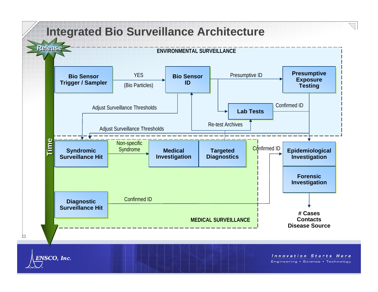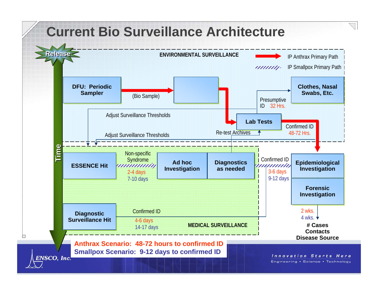